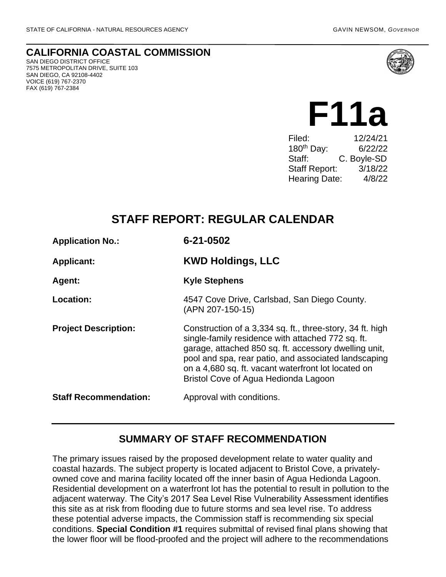**CALIFORNIA COASTAL COMMISSION** SAN DIEGO DISTRICT OFFICE

7575 METROPOLITAN DRIVE, SUITE 103 SAN DIEGO, CA 92108-4402 VOICE (619) 767-2370 FAX (619) 767-2384



# **F11a**

| Filed:                 | 12/24/21    |
|------------------------|-------------|
| 180 <sup>th</sup> Day: | 6/22/22     |
| Staff:                 | C. Boyle-SD |
| <b>Staff Report:</b>   | 3/18/22     |
| <b>Hearing Date:</b>   | 4/8/22      |
|                        |             |

# **STAFF REPORT: REGULAR CALENDAR**

| <b>Application No.:</b>      | 6-21-0502                                                                                                                                                                                                                                                                                                                      |
|------------------------------|--------------------------------------------------------------------------------------------------------------------------------------------------------------------------------------------------------------------------------------------------------------------------------------------------------------------------------|
| <b>Applicant:</b>            | <b>KWD Holdings, LLC</b>                                                                                                                                                                                                                                                                                                       |
| Agent:                       | <b>Kyle Stephens</b>                                                                                                                                                                                                                                                                                                           |
| Location:                    | 4547 Cove Drive, Carlsbad, San Diego County.<br>(APN 207-150-15)                                                                                                                                                                                                                                                               |
| <b>Project Description:</b>  | Construction of a 3,334 sq. ft., three-story, 34 ft. high<br>single-family residence with attached 772 sq. ft.<br>garage, attached 850 sq. ft. accessory dwelling unit,<br>pool and spa, rear patio, and associated landscaping<br>on a 4,680 sq. ft. vacant waterfront lot located on<br>Bristol Cove of Agua Hedionda Lagoon |
| <b>Staff Recommendation:</b> | Approval with conditions.                                                                                                                                                                                                                                                                                                      |

## **SUMMARY OF STAFF RECOMMENDATION**

The primary issues raised by the proposed development relate to water quality and coastal hazards. The subject property is located adjacent to Bristol Cove, a privatelyowned cove and marina facility located off the inner basin of Agua Hedionda Lagoon. Residential development on a waterfront lot has the potential to result in pollution to the adjacent waterway. The City's 2017 Sea Level Rise Vulnerability Assessment identifies this site as at risk from flooding due to future storms and sea level rise. To address these potential adverse impacts, the Commission staff is recommending six special conditions. **Special Condition #1** requires submittal of revised final plans showing that the lower floor will be flood-proofed and the project will adhere to the recommendations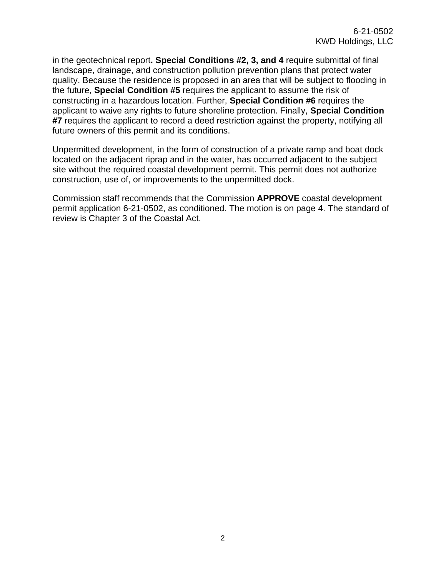in the geotechnical report**. Special Conditions #2, 3, and 4** require submittal of final landscape, drainage, and construction pollution prevention plans that protect water quality. Because the residence is proposed in an area that will be subject to flooding in the future, **Special Condition #5** requires the applicant to assume the risk of constructing in a hazardous location. Further, **Special Condition #6** requires the applicant to waive any rights to future shoreline protection. Finally, **Special Condition #7** requires the applicant to record a deed restriction against the property, notifying all future owners of this permit and its conditions.

Unpermitted development, in the form of construction of a private ramp and boat dock located on the adjacent riprap and in the water, has occurred adjacent to the subject site without the required coastal development permit. This permit does not authorize construction, use of, or improvements to the unpermitted dock.

Commission staff recommends that the Commission **APPROVE** coastal development permit application 6-21-0502, as conditioned. The motion is on page 4. The standard of review is Chapter 3 of the Coastal Act.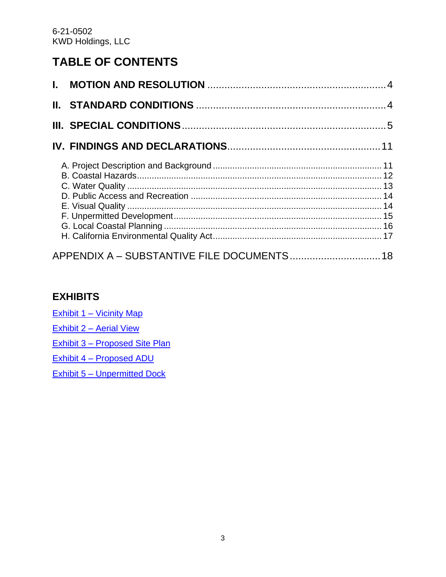# **TABLE OF CONTENTS**

| APPENDIX A - SUBSTANTIVE FILE DOCUMENTS 18 |  |
|--------------------------------------------|--|

## **EXHIBITS**

Exhibit 1 – [Vicinity Map](https://documents.coastal.ca.gov/reports/2022/4/f11a/f11a-4-2022-exhibits.pdf)

Exhibit 2 – [Aerial View](https://documents.coastal.ca.gov/reports/2022/4/f11a/f11a-4-2022-exhibits.pdf)

Exhibit 3 – [Proposed Site Plan](https://documents.coastal.ca.gov/reports/2022/4/f11a/f11a-4-2022-exhibits.pdf)

Exhibit 4 – [Proposed ADU](https://documents.coastal.ca.gov/reports/2022/4/f11a/f11a-4-2022-exhibits.pdf) 

Exhibit 5 – [Unpermitted Dock](https://documents.coastal.ca.gov/reports/2022/4/f11a/f11a-4-2022-exhibits.pdf)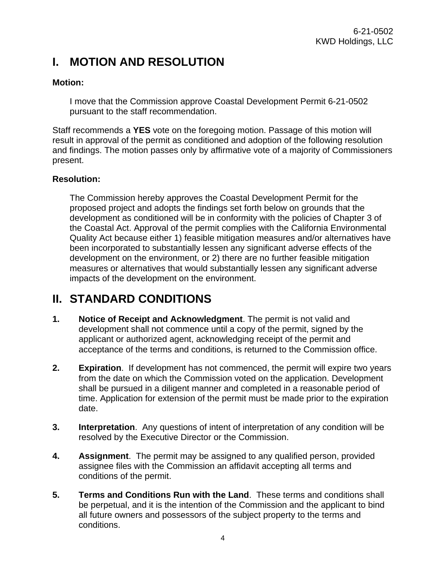# <span id="page-3-0"></span>**I. MOTION AND RESOLUTION**

#### **Motion:**

I move that the Commission approve Coastal Development Permit 6-21-0502 pursuant to the staff recommendation.

Staff recommends a **YES** vote on the foregoing motion. Passage of this motion will result in approval of the permit as conditioned and adoption of the following resolution and findings. The motion passes only by affirmative vote of a majority of Commissioners present.

#### **Resolution:**

The Commission hereby approves the Coastal Development Permit for the proposed project and adopts the findings set forth below on grounds that the development as conditioned will be in conformity with the policies of Chapter 3 of the Coastal Act. Approval of the permit complies with the California Environmental Quality Act because either 1) feasible mitigation measures and/or alternatives have been incorporated to substantially lessen any significant adverse effects of the development on the environment, or 2) there are no further feasible mitigation measures or alternatives that would substantially lessen any significant adverse impacts of the development on the environment.

# <span id="page-3-1"></span>**II. STANDARD CONDITIONS**

- **1. Notice of Receipt and Acknowledgment**. The permit is not valid and development shall not commence until a copy of the permit, signed by the applicant or authorized agent, acknowledging receipt of the permit and acceptance of the terms and conditions, is returned to the Commission office.
- **2. Expiration**. If development has not commenced, the permit will expire two years from the date on which the Commission voted on the application. Development shall be pursued in a diligent manner and completed in a reasonable period of time. Application for extension of the permit must be made prior to the expiration date.
- **3. Interpretation**. Any questions of intent of interpretation of any condition will be resolved by the Executive Director or the Commission.
- **4. Assignment**. The permit may be assigned to any qualified person, provided assignee files with the Commission an affidavit accepting all terms and conditions of the permit.
- **5. Terms and Conditions Run with the Land**. These terms and conditions shall be perpetual, and it is the intention of the Commission and the applicant to bind all future owners and possessors of the subject property to the terms and conditions.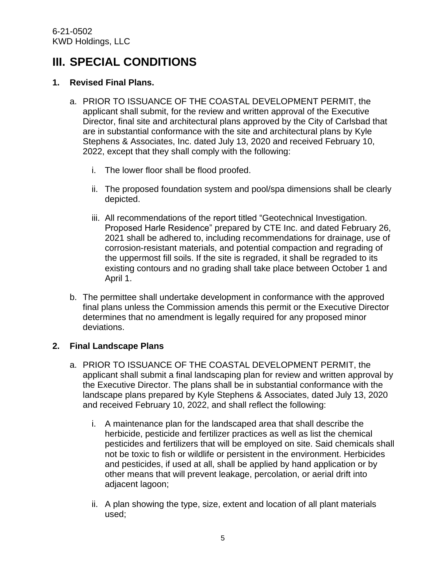# <span id="page-4-0"></span>**III. SPECIAL CONDITIONS**

#### **1. Revised Final Plans.**

- a. PRIOR TO ISSUANCE OF THE COASTAL DEVELOPMENT PERMIT, the applicant shall submit, for the review and written approval of the Executive Director, final site and architectural plans approved by the City of Carlsbad that are in substantial conformance with the site and architectural plans by Kyle Stephens & Associates, Inc. dated July 13, 2020 and received February 10, 2022, except that they shall comply with the following:
	- i. The lower floor shall be flood proofed.
	- ii. The proposed foundation system and pool/spa dimensions shall be clearly depicted.
	- iii. All recommendations of the report titled "Geotechnical Investigation. Proposed Harle Residence" prepared by CTE Inc. and dated February 26, 2021 shall be adhered to, including recommendations for drainage, use of corrosion-resistant materials, and potential compaction and regrading of the uppermost fill soils. If the site is regraded, it shall be regraded to its existing contours and no grading shall take place between October 1 and April 1.
- b. The permittee shall undertake development in conformance with the approved final plans unless the Commission amends this permit or the Executive Director determines that no amendment is legally required for any proposed minor deviations.

#### **2. Final Landscape Plans**

- a. PRIOR TO ISSUANCE OF THE COASTAL DEVELOPMENT PERMIT, the applicant shall submit a final landscaping plan for review and written approval by the Executive Director. The plans shall be in substantial conformance with the landscape plans prepared by Kyle Stephens & Associates, dated July 13, 2020 and received February 10, 2022, and shall reflect the following:
	- i. A maintenance plan for the landscaped area that shall describe the herbicide, pesticide and fertilizer practices as well as list the chemical pesticides and fertilizers that will be employed on site. Said chemicals shall not be toxic to fish or wildlife or persistent in the environment. Herbicides and pesticides, if used at all, shall be applied by hand application or by other means that will prevent leakage, percolation, or aerial drift into adjacent lagoon;
	- ii. A plan showing the type, size, extent and location of all plant materials used;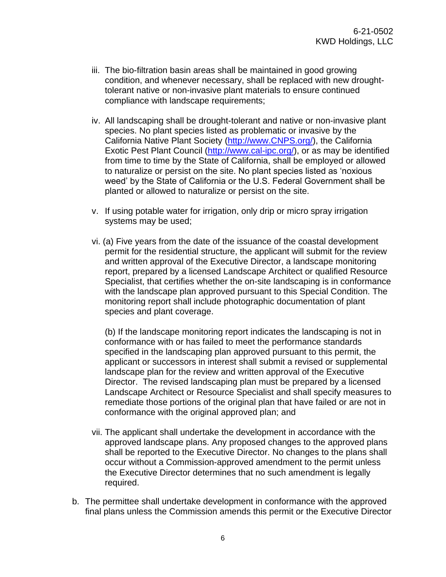- iii. The bio-filtration basin areas shall be maintained in good growing condition, and whenever necessary, shall be replaced with new droughttolerant native or non-invasive plant materials to ensure continued compliance with landscape requirements;
- iv. All landscaping shall be drought-tolerant and native or non-invasive plant species. No plant species listed as problematic or invasive by the California Native Plant Society [\(http://www.CNPS.org/\)](http://www.cnps.org/), the California Exotic Pest Plant Council [\(http://www.cal-ipc.org/\)](http://www.cal-ipc.org/), or as may be identified from time to time by the State of California, shall be employed or allowed to naturalize or persist on the site. No plant species listed as 'noxious weed' by the State of California or the U.S. Federal Government shall be planted or allowed to naturalize or persist on the site.
- v. If using potable water for irrigation, only drip or micro spray irrigation systems may be used;
- vi. (a) Five years from the date of the issuance of the coastal development permit for the residential structure, the applicant will submit for the review and written approval of the Executive Director, a landscape monitoring report, prepared by a licensed Landscape Architect or qualified Resource Specialist, that certifies whether the on-site landscaping is in conformance with the landscape plan approved pursuant to this Special Condition. The monitoring report shall include photographic documentation of plant species and plant coverage.

(b) If the landscape monitoring report indicates the landscaping is not in conformance with or has failed to meet the performance standards specified in the landscaping plan approved pursuant to this permit, the applicant or successors in interest shall submit a revised or supplemental landscape plan for the review and written approval of the Executive Director. The revised landscaping plan must be prepared by a licensed Landscape Architect or Resource Specialist and shall specify measures to remediate those portions of the original plan that have failed or are not in conformance with the original approved plan; and

- vii. The applicant shall undertake the development in accordance with the approved landscape plans. Any proposed changes to the approved plans shall be reported to the Executive Director. No changes to the plans shall occur without a Commission-approved amendment to the permit unless the Executive Director determines that no such amendment is legally required.
- b. The permittee shall undertake development in conformance with the approved final plans unless the Commission amends this permit or the Executive Director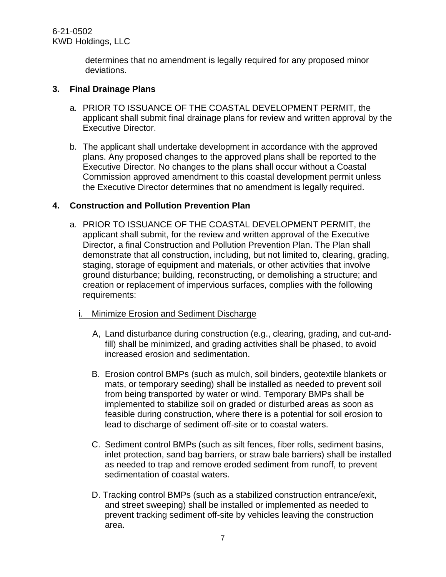6-21-0502 KWD Holdings, LLC

> determines that no amendment is legally required for any proposed minor deviations.

#### **3. Final Drainage Plans**

- a. PRIOR TO ISSUANCE OF THE COASTAL DEVELOPMENT PERMIT, the applicant shall submit final drainage plans for review and written approval by the Executive Director.
- b. The applicant shall undertake development in accordance with the approved plans. Any proposed changes to the approved plans shall be reported to the Executive Director. No changes to the plans shall occur without a Coastal Commission approved amendment to this coastal development permit unless the Executive Director determines that no amendment is legally required.

#### **4. Construction and Pollution Prevention Plan**

a. PRIOR TO ISSUANCE OF THE COASTAL DEVELOPMENT PERMIT, the applicant shall submit, for the review and written approval of the Executive Director, a final Construction and Pollution Prevention Plan. The Plan shall demonstrate that all construction, including, but not limited to, clearing, grading, staging, storage of equipment and materials, or other activities that involve ground disturbance; building, reconstructing, or demolishing a structure; and creation or replacement of impervious surfaces, complies with the following requirements:

#### i. Minimize Erosion and Sediment Discharge

- A, Land disturbance during construction (e.g., clearing, grading, and cut-andfill) shall be minimized, and grading activities shall be phased, to avoid increased erosion and sedimentation.
- B. Erosion control BMPs (such as mulch, soil binders, geotextile blankets or mats, or temporary seeding) shall be installed as needed to prevent soil from being transported by water or wind. Temporary BMPs shall be implemented to stabilize soil on graded or disturbed areas as soon as feasible during construction, where there is a potential for soil erosion to lead to discharge of sediment off-site or to coastal waters.
- C. Sediment control BMPs (such as silt fences, fiber rolls, sediment basins, inlet protection, sand bag barriers, or straw bale barriers) shall be installed as needed to trap and remove eroded sediment from runoff, to prevent sedimentation of coastal waters.
- D. Tracking control BMPs (such as a stabilized construction entrance/exit, and street sweeping) shall be installed or implemented as needed to prevent tracking sediment off-site by vehicles leaving the construction area.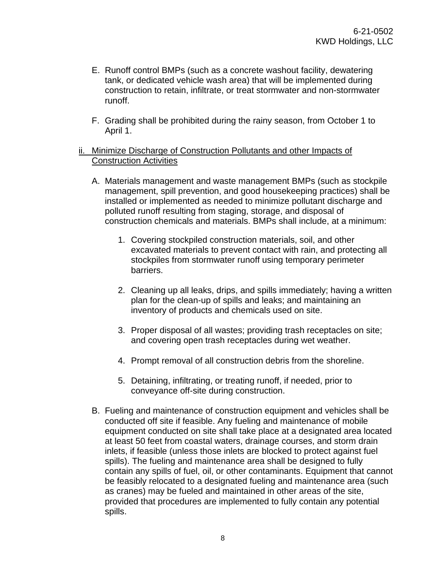- E. Runoff control BMPs (such as a concrete washout facility, dewatering tank, or dedicated vehicle wash area) that will be implemented during construction to retain, infiltrate, or treat stormwater and non-stormwater runoff.
- F. Grading shall be prohibited during the rainy season, from October 1 to April 1.

#### ii. Minimize Discharge of Construction Pollutants and other Impacts of Construction Activities

- A. Materials management and waste management BMPs (such as stockpile management, spill prevention, and good housekeeping practices) shall be installed or implemented as needed to minimize pollutant discharge and polluted runoff resulting from staging, storage, and disposal of construction chemicals and materials. BMPs shall include, at a minimum:
	- 1. Covering stockpiled construction materials, soil, and other excavated materials to prevent contact with rain, and protecting all stockpiles from stormwater runoff using temporary perimeter barriers.
	- 2. Cleaning up all leaks, drips, and spills immediately; having a written plan for the clean-up of spills and leaks; and maintaining an inventory of products and chemicals used on site.
	- 3. Proper disposal of all wastes; providing trash receptacles on site; and covering open trash receptacles during wet weather.
	- 4. Prompt removal of all construction debris from the shoreline.
	- 5. Detaining, infiltrating, or treating runoff, if needed, prior to conveyance off-site during construction.
- B. Fueling and maintenance of construction equipment and vehicles shall be conducted off site if feasible. Any fueling and maintenance of mobile equipment conducted on site shall take place at a designated area located at least 50 feet from coastal waters, drainage courses, and storm drain inlets, if feasible (unless those inlets are blocked to protect against fuel spills). The fueling and maintenance area shall be designed to fully contain any spills of fuel, oil, or other contaminants. Equipment that cannot be feasibly relocated to a designated fueling and maintenance area (such as cranes) may be fueled and maintained in other areas of the site, provided that procedures are implemented to fully contain any potential spills.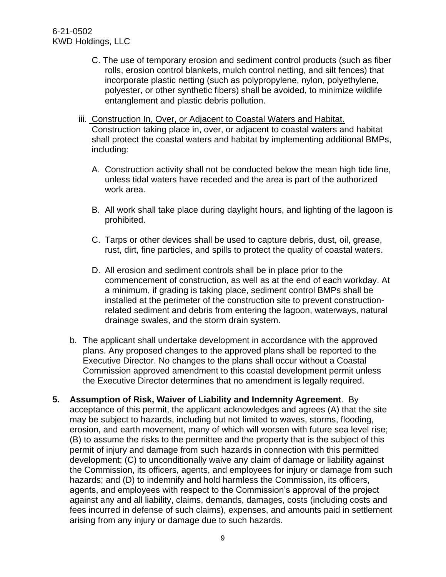- C. The use of temporary erosion and sediment control products (such as fiber rolls, erosion control blankets, mulch control netting, and silt fences) that incorporate plastic netting (such as polypropylene, nylon, polyethylene, polyester, or other synthetic fibers) shall be avoided, to minimize wildlife entanglement and plastic debris pollution.
- iii. Construction In, Over, or Adjacent to Coastal Waters and Habitat. Construction taking place in, over, or adjacent to coastal waters and habitat shall protect the coastal waters and habitat by implementing additional BMPs, including:
	- A. Construction activity shall not be conducted below the mean high tide line, unless tidal waters have receded and the area is part of the authorized work area.
	- B. All work shall take place during daylight hours, and lighting of the lagoon is prohibited.
	- C. Tarps or other devices shall be used to capture debris, dust, oil, grease, rust, dirt, fine particles, and spills to protect the quality of coastal waters.
	- D. All erosion and sediment controls shall be in place prior to the commencement of construction, as well as at the end of each workday. At a minimum, if grading is taking place, sediment control BMPs shall be installed at the perimeter of the construction site to prevent constructionrelated sediment and debris from entering the lagoon, waterways, natural drainage swales, and the storm drain system.
- b. The applicant shall undertake development in accordance with the approved plans. Any proposed changes to the approved plans shall be reported to the Executive Director. No changes to the plans shall occur without a Coastal Commission approved amendment to this coastal development permit unless the Executive Director determines that no amendment is legally required.
- **5. Assumption of Risk, Waiver of Liability and Indemnity Agreement**. By acceptance of this permit, the applicant acknowledges and agrees (A) that the site may be subject to hazards, including but not limited to waves, storms, flooding, erosion, and earth movement, many of which will worsen with future sea level rise; (B) to assume the risks to the permittee and the property that is the subject of this permit of injury and damage from such hazards in connection with this permitted development; (C) to unconditionally waive any claim of damage or liability against the Commission, its officers, agents, and employees for injury or damage from such hazards; and (D) to indemnify and hold harmless the Commission, its officers, agents, and employees with respect to the Commission's approval of the project against any and all liability, claims, demands, damages, costs (including costs and fees incurred in defense of such claims), expenses, and amounts paid in settlement arising from any injury or damage due to such hazards.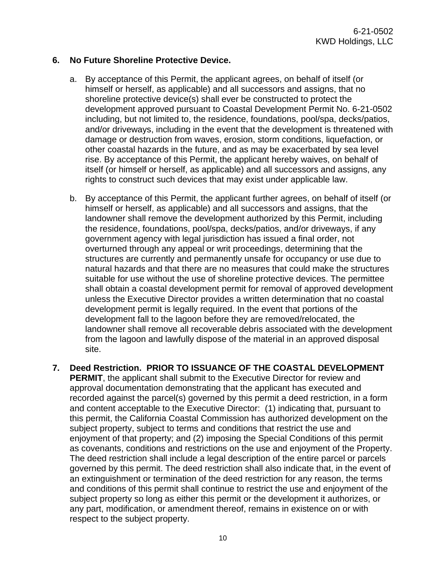#### **6. No Future Shoreline Protective Device.**

- a. By acceptance of this Permit, the applicant agrees, on behalf of itself (or himself or herself, as applicable) and all successors and assigns, that no shoreline protective device(s) shall ever be constructed to protect the development approved pursuant to Coastal Development Permit No. 6-21-0502 including, but not limited to, the residence, foundations, pool/spa, decks/patios, and/or driveways, including in the event that the development is threatened with damage or destruction from waves, erosion, storm conditions, liquefaction, or other coastal hazards in the future, and as may be exacerbated by sea level rise. By acceptance of this Permit, the applicant hereby waives, on behalf of itself (or himself or herself, as applicable) and all successors and assigns, any rights to construct such devices that may exist under applicable law.
- b. By acceptance of this Permit, the applicant further agrees, on behalf of itself (or himself or herself, as applicable) and all successors and assigns, that the landowner shall remove the development authorized by this Permit, including the residence, foundations, pool/spa, decks/patios, and/or driveways, if any government agency with legal jurisdiction has issued a final order, not overturned through any appeal or writ proceedings, determining that the structures are currently and permanently unsafe for occupancy or use due to natural hazards and that there are no measures that could make the structures suitable for use without the use of shoreline protective devices. The permittee shall obtain a coastal development permit for removal of approved development unless the Executive Director provides a written determination that no coastal development permit is legally required. In the event that portions of the development fall to the lagoon before they are removed/relocated, the landowner shall remove all recoverable debris associated with the development from the lagoon and lawfully dispose of the material in an approved disposal site.
- **7. Deed Restriction. PRIOR TO ISSUANCE OF THE COASTAL DEVELOPMENT PERMIT**, the applicant shall submit to the Executive Director for review and approval documentation demonstrating that the applicant has executed and recorded against the parcel(s) governed by this permit a deed restriction, in a form and content acceptable to the Executive Director: (1) indicating that, pursuant to this permit, the California Coastal Commission has authorized development on the subject property, subject to terms and conditions that restrict the use and enjoyment of that property; and (2) imposing the Special Conditions of this permit as covenants, conditions and restrictions on the use and enjoyment of the Property. The deed restriction shall include a legal description of the entire parcel or parcels governed by this permit. The deed restriction shall also indicate that, in the event of an extinguishment or termination of the deed restriction for any reason, the terms and conditions of this permit shall continue to restrict the use and enjoyment of the subject property so long as either this permit or the development it authorizes, or any part, modification, or amendment thereof, remains in existence on or with respect to the subject property.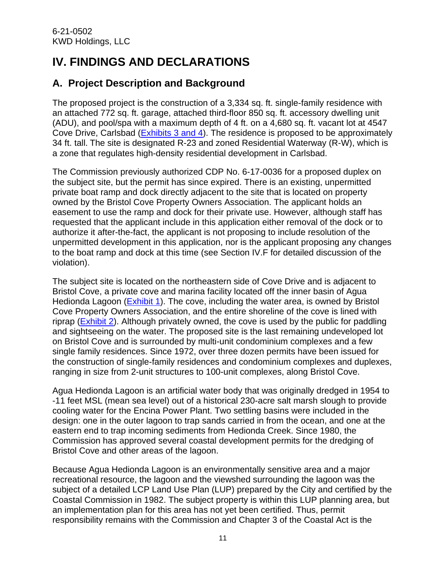# <span id="page-10-0"></span>**IV. FINDINGS AND DECLARATIONS**

# <span id="page-10-1"></span>**A. Project Description and Background**

The proposed project is the construction of a 3,334 sq. ft. single-family residence with an attached 772 sq. ft. garage, attached third-floor 850 sq. ft. accessory dwelling unit (ADU), and pool/spa with a maximum depth of 4 ft. on a 4,680 sq. ft. vacant lot at 4547 Cove Drive, Carlsbad [\(Exhibits](https://documents.coastal.ca.gov/reports/2022/4/f11a/f11a-4-2022-exhibits.pdf) 3 and 4). The residence is proposed to be approximately 34 ft. tall. The site is designated R-23 and zoned Residential Waterway (R-W), which is a zone that regulates high-density residential development in Carlsbad.

The Commission previously authorized CDP No. 6-17-0036 for a proposed duplex on the subject site, but the permit has since expired. There is an existing, unpermitted private boat ramp and dock directly adjacent to the site that is located on property owned by the Bristol Cove Property Owners Association. The applicant holds an easement to use the ramp and dock for their private use. However, although staff has requested that the applicant include in this application either removal of the dock or to authorize it after-the-fact, the applicant is not proposing to include resolution of the unpermitted development in this application, nor is the applicant proposing any changes to the boat ramp and dock at this time (see Section IV.F for detailed discussion of the violation).

The subject site is located on the northeastern side of Cove Drive and is adjacent to Bristol Cove, a private cove and marina facility located off the inner basin of Agua Hedionda Lagoon [\(Exhibit 1\)](https://documents.coastal.ca.gov/reports/2022/4/f11a/f11a-4-2022-exhibits.pdf). The cove, including the water area, is owned by Bristol Cove Property Owners Association, and the entire shoreline of the cove is lined with riprap [\(Exhibit 2\)](https://documents.coastal.ca.gov/reports/2022/4/f11a/f11a-4-2022-exhibits.pdf). Although privately owned, the cove is used by the public for paddling and sightseeing on the water. The proposed site is the last remaining undeveloped lot on Bristol Cove and is surrounded by multi-unit condominium complexes and a few single family residences. Since 1972, over three dozen permits have been issued for the construction of single-family residences and condominium complexes and duplexes, ranging in size from 2-unit structures to 100-unit complexes, along Bristol Cove.

Agua Hedionda Lagoon is an artificial water body that was originally dredged in 1954 to -11 feet MSL (mean sea level) out of a historical 230-acre salt marsh slough to provide cooling water for the Encina Power Plant. Two settling basins were included in the design: one in the outer lagoon to trap sands carried in from the ocean, and one at the eastern end to trap incoming sediments from Hedionda Creek. Since 1980, the Commission has approved several coastal development permits for the dredging of Bristol Cove and other areas of the lagoon.

Because Agua Hedionda Lagoon is an environmentally sensitive area and a major recreational resource, the lagoon and the viewshed surrounding the lagoon was the subject of a detailed LCP Land Use Plan (LUP) prepared by the City and certified by the Coastal Commission in 1982. The subject property is within this LUP planning area, but an implementation plan for this area has not yet been certified. Thus, permit responsibility remains with the Commission and Chapter 3 of the Coastal Act is the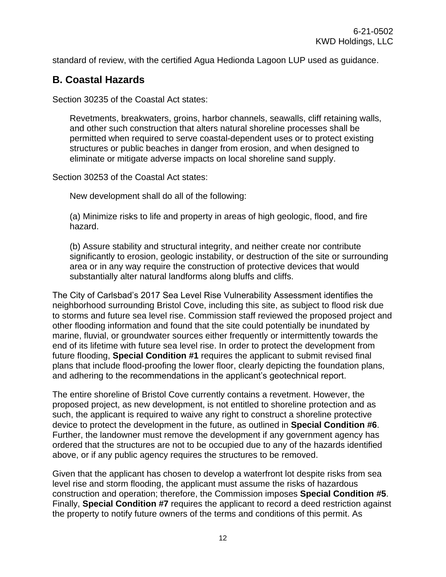standard of review, with the certified Agua Hedionda Lagoon LUP used as guidance.

### <span id="page-11-0"></span>**B. Coastal Hazards**

Section 30235 of the Coastal Act states:

Revetments, breakwaters, groins, harbor channels, seawalls, cliff retaining walls, and other such construction that alters natural shoreline processes shall be permitted when required to serve coastal-dependent uses or to protect existing structures or public beaches in danger from erosion, and when designed to eliminate or mitigate adverse impacts on local shoreline sand supply.

Section 30253 of the Coastal Act states:

New development shall do all of the following:

(a) Minimize risks to life and property in areas of high geologic, flood, and fire hazard.

(b) Assure stability and structural integrity, and neither create nor contribute significantly to erosion, geologic instability, or destruction of the site or surrounding area or in any way require the construction of protective devices that would substantially alter natural landforms along bluffs and cliffs.

The City of Carlsbad's 2017 Sea Level Rise Vulnerability Assessment identifies the neighborhood surrounding Bristol Cove, including this site, as subject to flood risk due to storms and future sea level rise. Commission staff reviewed the proposed project and other flooding information and found that the site could potentially be inundated by marine, fluvial, or groundwater sources either frequently or intermittently towards the end of its lifetime with future sea level rise. In order to protect the development from future flooding, **Special Condition #1** requires the applicant to submit revised final plans that include flood-proofing the lower floor, clearly depicting the foundation plans, and adhering to the recommendations in the applicant's geotechnical report.

The entire shoreline of Bristol Cove currently contains a revetment. However, the proposed project, as new development, is not entitled to shoreline protection and as such, the applicant is required to waive any right to construct a shoreline protective device to protect the development in the future, as outlined in **Special Condition #6**. Further, the landowner must remove the development if any government agency has ordered that the structures are not to be occupied due to any of the hazards identified above, or if any public agency requires the structures to be removed.

Given that the applicant has chosen to develop a waterfront lot despite risks from sea level rise and storm flooding, the applicant must assume the risks of hazardous construction and operation; therefore, the Commission imposes **Special Condition #5**. Finally, **Special Condition #7** requires the applicant to record a deed restriction against the property to notify future owners of the terms and conditions of this permit. As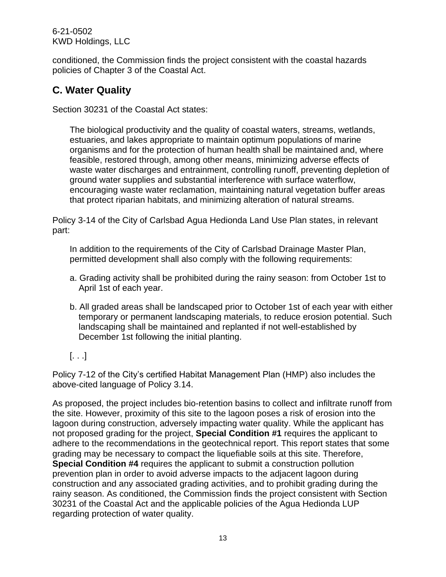6-21-0502 KWD Holdings, LLC

conditioned, the Commission finds the project consistent with the coastal hazards policies of Chapter 3 of the Coastal Act.

# <span id="page-12-0"></span>**C. Water Quality**

Section 30231 of the Coastal Act states:

The biological productivity and the quality of coastal waters, streams, wetlands, estuaries, and lakes appropriate to maintain optimum populations of marine organisms and for the protection of human health shall be maintained and, where feasible, restored through, among other means, minimizing adverse effects of waste water discharges and entrainment, controlling runoff, preventing depletion of ground water supplies and substantial interference with surface waterflow, encouraging waste water reclamation, maintaining natural vegetation buffer areas that protect riparian habitats, and minimizing alteration of natural streams.

Policy 3-14 of the City of Carlsbad Agua Hedionda Land Use Plan states, in relevant part:

In addition to the requirements of the City of Carlsbad Drainage Master Plan, permitted development shall also comply with the following requirements:

- a. Grading activity shall be prohibited during the rainy season: from October 1st to April 1st of each year.
- b. All graded areas shall be landscaped prior to October 1st of each year with either temporary or permanent landscaping materials, to reduce erosion potential. Such landscaping shall be maintained and replanted if not well-established by December 1st following the initial planting.
- $[\ldots]$

Policy 7-12 of the City's certified Habitat Management Plan (HMP) also includes the above-cited language of Policy 3.14.

As proposed, the project includes bio-retention basins to collect and infiltrate runoff from the site. However, proximity of this site to the lagoon poses a risk of erosion into the lagoon during construction, adversely impacting water quality. While the applicant has not proposed grading for the project, **Special Condition #1** requires the applicant to adhere to the recommendations in the geotechnical report. This report states that some grading may be necessary to compact the liquefiable soils at this site. Therefore, **Special Condition #4** requires the applicant to submit a construction pollution prevention plan in order to avoid adverse impacts to the adjacent lagoon during construction and any associated grading activities, and to prohibit grading during the rainy season. As conditioned, the Commission finds the project consistent with Section 30231 of the Coastal Act and the applicable policies of the Agua Hedionda LUP regarding protection of water quality.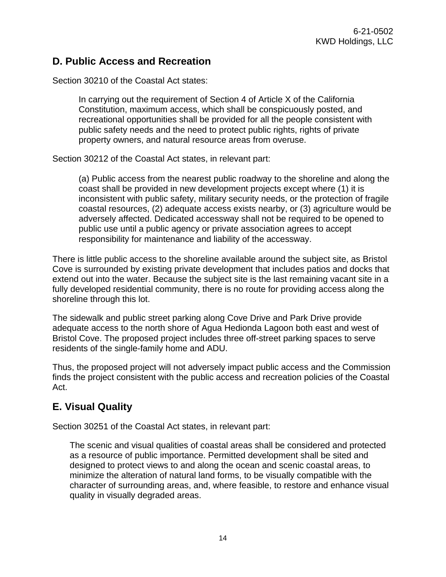## <span id="page-13-0"></span>**D. Public Access and Recreation**

Section 30210 of the Coastal Act states:

In carrying out the requirement of Section 4 of Article X of the California Constitution, maximum access, which shall be conspicuously posted, and recreational opportunities shall be provided for all the people consistent with public safety needs and the need to protect public rights, rights of private property owners, and natural resource areas from overuse.

Section 30212 of the Coastal Act states, in relevant part:

(a) Public access from the nearest public roadway to the shoreline and along the coast shall be provided in new development projects except where (1) it is inconsistent with public safety, military security needs, or the protection of fragile coastal resources, (2) adequate access exists nearby, or (3) agriculture would be adversely affected. Dedicated accessway shall not be required to be opened to public use until a public agency or private association agrees to accept responsibility for maintenance and liability of the accessway.

There is little public access to the shoreline available around the subject site, as Bristol Cove is surrounded by existing private development that includes patios and docks that extend out into the water. Because the subject site is the last remaining vacant site in a fully developed residential community, there is no route for providing access along the shoreline through this lot.

The sidewalk and public street parking along Cove Drive and Park Drive provide adequate access to the north shore of Agua Hedionda Lagoon both east and west of Bristol Cove. The proposed project includes three off-street parking spaces to serve residents of the single-family home and ADU.

Thus, the proposed project will not adversely impact public access and the Commission finds the project consistent with the public access and recreation policies of the Coastal Act.

## <span id="page-13-1"></span>**E. Visual Quality**

Section 30251 of the Coastal Act states, in relevant part:

The scenic and visual qualities of coastal areas shall be considered and protected as a resource of public importance. Permitted development shall be sited and designed to protect views to and along the ocean and scenic coastal areas, to minimize the alteration of natural land forms, to be visually compatible with the character of surrounding areas, and, where feasible, to restore and enhance visual quality in visually degraded areas.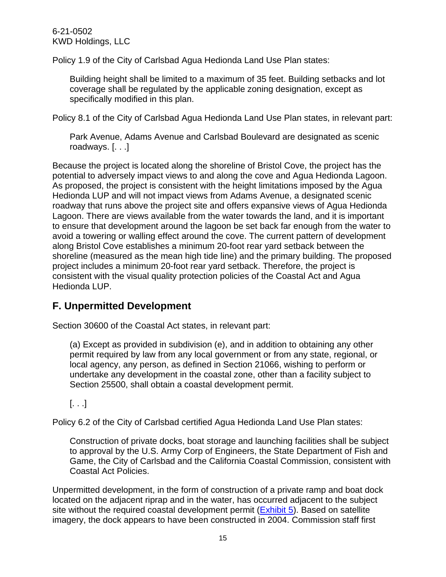Policy 1.9 of the City of Carlsbad Agua Hedionda Land Use Plan states:

Building height shall be limited to a maximum of 35 feet. Building setbacks and lot coverage shall be regulated by the applicable zoning designation, except as specifically modified in this plan.

Policy 8.1 of the City of Carlsbad Agua Hedionda Land Use Plan states, in relevant part:

Park Avenue, Adams Avenue and Carlsbad Boulevard are designated as scenic roadways. [. . .]

Because the project is located along the shoreline of Bristol Cove, the project has the potential to adversely impact views to and along the cove and Agua Hedionda Lagoon. As proposed, the project is consistent with the height limitations imposed by the Agua Hedionda LUP and will not impact views from Adams Avenue, a designated scenic roadway that runs above the project site and offers expansive views of Agua Hedionda Lagoon. There are views available from the water towards the land, and it is important to ensure that development around the lagoon be set back far enough from the water to avoid a towering or walling effect around the cove. The current pattern of development along Bristol Cove establishes a minimum 20-foot rear yard setback between the shoreline (measured as the mean high tide line) and the primary building. The proposed project includes a minimum 20-foot rear yard setback. Therefore, the project is consistent with the visual quality protection policies of the Coastal Act and Agua Hedionda LUP.

## <span id="page-14-0"></span>**F. Unpermitted Development**

Section 30600 of the Coastal Act states, in relevant part:

(a) Except as provided in subdivision (e), and in addition to obtaining any other permit required by law from any local government or from any state, regional, or local agency, any person, as defined in Section 21066, wishing to perform or undertake any development in the coastal zone, other than a facility subject to Section 25500, shall obtain a coastal development permit.

 $[ \ldots ]$ 

Policy 6.2 of the City of Carlsbad certified Agua Hedionda Land Use Plan states:

Construction of private docks, boat storage and launching facilities shall be subject to approval by the U.S. Army Corp of Engineers, the State Department of Fish and Game, the City of Carlsbad and the California Coastal Commission, consistent with Coastal Act Policies.

Unpermitted development, in the form of construction of a private ramp and boat dock located on the adjacent riprap and in the water, has occurred adjacent to the subject site without the required coastal development permit [\(Exhibit 5\)](https://documents.coastal.ca.gov/reports/2022/4/f11a/f11a-4-2022-exhibits.pdf). Based on satellite imagery, the dock appears to have been constructed in 2004. Commission staff first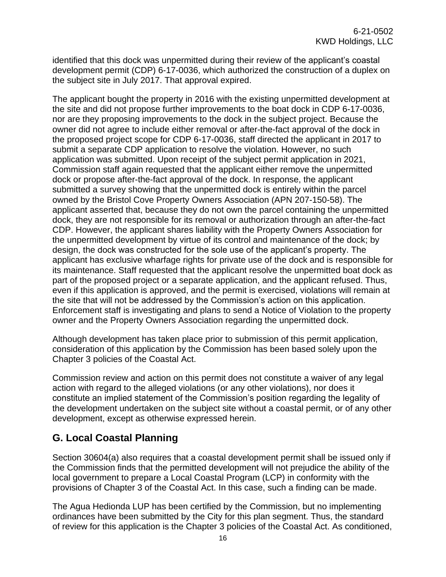identified that this dock was unpermitted during their review of the applicant's coastal development permit (CDP) 6-17-0036, which authorized the construction of a duplex on the subject site in July 2017. That approval expired.

The applicant bought the property in 2016 with the existing unpermitted development at the site and did not propose further improvements to the boat dock in CDP 6-17-0036, nor are they proposing improvements to the dock in the subject project. Because the owner did not agree to include either removal or after-the-fact approval of the dock in the proposed project scope for CDP 6-17-0036, staff directed the applicant in 2017 to submit a separate CDP application to resolve the violation. However, no such application was submitted. Upon receipt of the subject permit application in 2021, Commission staff again requested that the applicant either remove the unpermitted dock or propose after-the-fact approval of the dock. In response, the applicant submitted a survey showing that the unpermitted dock is entirely within the parcel owned by the Bristol Cove Property Owners Association (APN 207-150-58). The applicant asserted that, because they do not own the parcel containing the unpermitted dock, they are not responsible for its removal or authorization through an after-the-fact CDP. However, the applicant shares liability with the Property Owners Association for the unpermitted development by virtue of its control and maintenance of the dock; by design, the dock was constructed for the sole use of the applicant's property. The applicant has exclusive wharfage rights for private use of the dock and is responsible for its maintenance. Staff requested that the applicant resolve the unpermitted boat dock as part of the proposed project or a separate application, and the applicant refused. Thus, even if this application is approved, and the permit is exercised, violations will remain at the site that will not be addressed by the Commission's action on this application. Enforcement staff is investigating and plans to send a Notice of Violation to the property owner and the Property Owners Association regarding the unpermitted dock.

Although development has taken place prior to submission of this permit application, consideration of this application by the Commission has been based solely upon the Chapter 3 policies of the Coastal Act.

Commission review and action on this permit does not constitute a waiver of any legal action with regard to the alleged violations (or any other violations), nor does it constitute an implied statement of the Commission's position regarding the legality of the development undertaken on the subject site without a coastal permit, or of any other development, except as otherwise expressed herein.

## <span id="page-15-0"></span>**G. Local Coastal Planning**

Section 30604(a) also requires that a coastal development permit shall be issued only if the Commission finds that the permitted development will not prejudice the ability of the local government to prepare a Local Coastal Program (LCP) in conformity with the provisions of Chapter 3 of the Coastal Act. In this case, such a finding can be made.

The Agua Hedionda LUP has been certified by the Commission, but no implementing ordinances have been submitted by the City for this plan segment. Thus, the standard of review for this application is the Chapter 3 policies of the Coastal Act. As conditioned,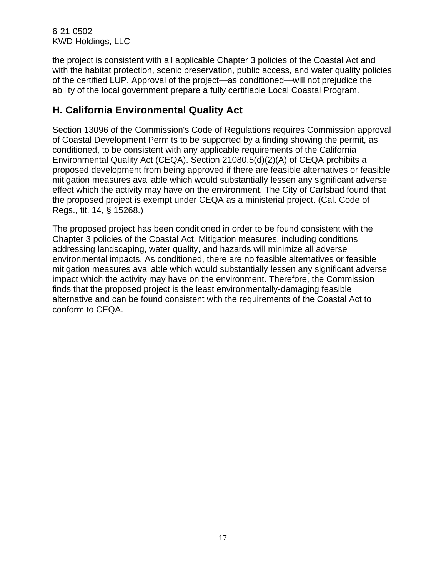6-21-0502 KWD Holdings, LLC

the project is consistent with all applicable Chapter 3 policies of the Coastal Act and with the habitat protection, scenic preservation, public access, and water quality policies of the certified LUP. Approval of the project—as conditioned—will not prejudice the ability of the local government prepare a fully certifiable Local Coastal Program.

## <span id="page-16-0"></span>**H. California Environmental Quality Act**

Section 13096 of the Commission's Code of Regulations requires Commission approval of Coastal Development Permits to be supported by a finding showing the permit, as conditioned, to be consistent with any applicable requirements of the California Environmental Quality Act (CEQA). Section 21080.5(d)(2)(A) of CEQA prohibits a proposed development from being approved if there are feasible alternatives or feasible mitigation measures available which would substantially lessen any significant adverse effect which the activity may have on the environment. The City of Carlsbad found that the proposed project is exempt under CEQA as a ministerial project. (Cal. Code of Regs., tit. 14, § 15268.)

The proposed project has been conditioned in order to be found consistent with the Chapter 3 policies of the Coastal Act. Mitigation measures, including conditions addressing landscaping, water quality, and hazards will minimize all adverse environmental impacts. As conditioned, there are no feasible alternatives or feasible mitigation measures available which would substantially lessen any significant adverse impact which the activity may have on the environment. Therefore, the Commission finds that the proposed project is the least environmentally-damaging feasible alternative and can be found consistent with the requirements of the Coastal Act to conform to CEQA.